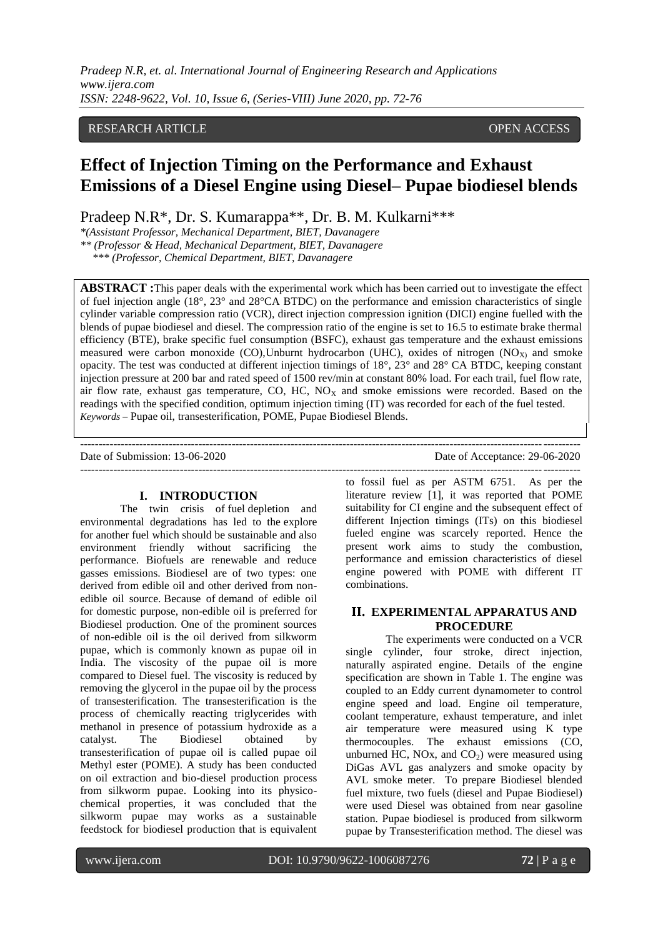# RESEARCH ARTICLE OPEN ACCESS

# **Effect of Injection Timing on the Performance and Exhaust Emissions of a Diesel Engine using Diesel– Pupae biodiesel blends**

Pradeep N.R\*, Dr. S. Kumarappa\*\*, Dr. B. M. Kulkarni\*\*\*

*\*(Assistant Professor, Mechanical Department, BIET, Davanagere*

*\*\* (Professor & Head, Mechanical Department, BIET, Davanagere*

*\*\*\* (Professor, Chemical Department, BIET, Davanagere*

**ABSTRACT :**This paper deals with the experimental work which has been carried out to investigate the effect of fuel injection angle (18°, 23° and 28°CA BTDC) on the performance and emission characteristics of single cylinder variable compression ratio (VCR), direct injection compression ignition (DICI) engine fuelled with the blends of pupae biodiesel and diesel. The compression ratio of the engine is set to 16.5 to estimate brake thermal efficiency (BTE), brake specific fuel consumption (BSFC), exhaust gas temperature and the exhaust emissions measured were carbon monoxide (CO), Unburnt hydrocarbon (UHC), oxides of nitrogen (NO<sub>X)</sub> and smoke opacity. The test was conducted at different injection timings of 18°, 23° and 28° CA BTDC, keeping constant injection pressure at 200 bar and rated speed of 1500 rev/min at constant 80% load. For each trail, fuel flow rate, air flow rate, exhaust gas temperature, CO, HC,  $NO<sub>X</sub>$  and smoke emissions were recorded. Based on the readings with the specified condition, optimum injection timing (IT) was recorded for each of the fuel tested. *Keywords* – Pupae oil, transesterification, POME, Pupae Biodiesel Blends.

---------------------------------------------------------------------------------------------------------------------------------------

---------------------------------------------------------------------------------------------------------------------------------------

Date of Submission: 13-06-2020 Date of Acceptance: 29-06-2020

#### **I. INTRODUCTION**

The twin crisis of fuel depletion and environmental degradations has led to the explore for another fuel which should be sustainable and also environment friendly without sacrificing the performance. Biofuels are renewable and reduce gasses emissions. Biodiesel are of two types: one derived from edible oil and other derived from nonedible oil source. Because of demand of edible oil for domestic purpose, non-edible oil is preferred for Biodiesel production. One of the prominent sources of non-edible oil is the oil derived from silkworm pupae, which is commonly known as pupae oil in India. The viscosity of the pupae oil is more compared to Diesel fuel. The viscosity is reduced by removing the glycerol in the pupae oil by the process of transesterification. The transesterification is the process of chemically reacting triglycerides with methanol in presence of potassium hydroxide as a catalyst. The Biodiesel obtained by transesterification of pupae oil is called pupae oil Methyl ester (POME). A study has been conducted on oil extraction and bio-diesel production process from silkworm pupae. Looking into its physicochemical properties, it was concluded that the silkworm pupae may works as a sustainable feedstock for biodiesel production that is equivalent

to fossil fuel as per ASTM 6751. As per the literature review [1], it was reported that POME suitability for CI engine and the subsequent effect of different Injection timings (ITs) on this biodiesel fueled engine was scarcely reported. Hence the present work aims to study the combustion, performance and emission characteristics of diesel engine powered with POME with different IT combinations.

# **II. EXPERIMENTAL APPARATUS AND PROCEDURE**

The experiments were conducted on a VCR single cylinder, four stroke, direct injection, naturally aspirated engine. Details of the engine specification are shown in Table 1. The engine was coupled to an Eddy current dynamometer to control engine speed and load. Engine oil temperature, coolant temperature, exhaust temperature, and inlet air temperature were measured using K type thermocouples. The exhaust emissions (CO, unburned HC, NOx, and  $CO<sub>2</sub>$ ) were measured using DiGas AVL gas analyzers and smoke opacity by AVL smoke meter. To prepare Biodiesel blended fuel mixture, two fuels (diesel and Pupae Biodiesel) were used Diesel was obtained from near gasoline station. Pupae biodiesel is produced from silkworm pupae by Transesterification method. The diesel was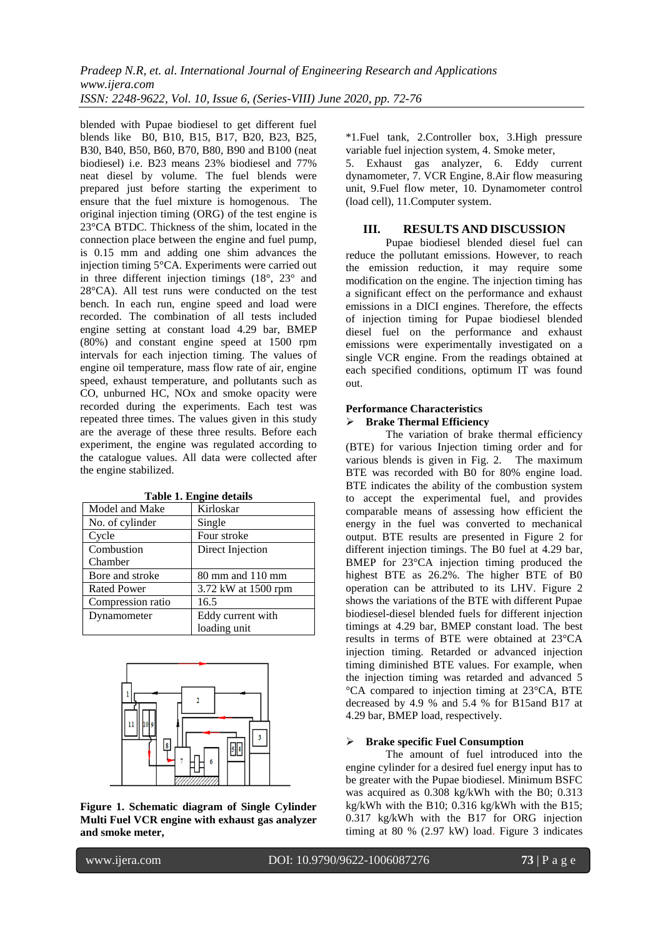blended with Pupae biodiesel to get different fuel blends like B0, B10, B15, B17, B20, B23, B25, B30, B40, B50, B60, B70, B80, B90 and B100 (neat biodiesel) i.e. B23 means 23% biodiesel and 77% neat diesel by volume. The fuel blends were prepared just before starting the experiment to ensure that the fuel mixture is homogenous. The original injection timing (ORG) of the test engine is 23°CA BTDC. Thickness of the shim, located in the connection place between the engine and fuel pump, is 0.15 mm and adding one shim advances the injection timing 5°CA. Experiments were carried out in three different injection timings  $(18^{\circ}, 23^{\circ})$  and 28°CA). All test runs were conducted on the test bench. In each run, engine speed and load were recorded. The combination of all tests included engine setting at constant load 4.29 bar, BMEP (80%) and constant engine speed at 1500 rpm intervals for each injection timing. The values of engine oil temperature, mass flow rate of air, engine speed, exhaust temperature, and pollutants such as CO, unburned HC, NOx and smoke opacity were recorded during the experiments. Each test was repeated three times. The values given in this study are the average of these three results. Before each experiment, the engine was regulated according to the catalogue values. All data were collected after the engine stabilized.

| Table 1. Englile details |                     |
|--------------------------|---------------------|
| Model and Make           | Kirloskar           |
| No. of cylinder          | Single              |
| Cycle                    | Four stroke         |
| Combustion               | Direct Injection    |
| Chamber                  |                     |
| Bore and stroke          | 80 mm and 110 mm    |
| <b>Rated Power</b>       | 3.72 kW at 1500 rpm |
| Compression ratio        | 16.5                |
| Dynamometer              | Eddy current with   |
|                          | loading unit        |

**Table 1. Engine details**



**Figure 1. Schematic diagram of Single Cylinder Multi Fuel VCR engine with exhaust gas analyzer and smoke meter,**

\*1.Fuel tank, 2.Controller box, 3.High pressure variable fuel injection system, 4. Smoke meter,

5. Exhaust gas analyzer, 6. Eddy current dynamometer, 7. VCR Engine, 8.Air flow measuring unit, 9.Fuel flow meter, 10. Dynamometer control (load cell), 11.Computer system.

# **III. RESULTS AND DISCUSSION**

Pupae biodiesel blended diesel fuel can reduce the pollutant emissions. However, to reach the emission reduction, it may require some modification on the engine. The injection timing has a significant effect on the performance and exhaust emissions in a DICI engines. Therefore, the effects of injection timing for Pupae biodiesel blended diesel fuel on the performance and exhaust emissions were experimentally investigated on a single VCR engine. From the readings obtained at each specified conditions, optimum IT was found out.

# **Performance Characteristics**

# **Brake Thermal Efficiency**

The variation of brake thermal efficiency (BTE) for various Injection timing order and for various blends is given in Fig. 2. The maximum BTE was recorded with B0 for 80% engine load. BTE indicates the ability of the combustion system to accept the experimental fuel, and provides comparable means of assessing how efficient the energy in the fuel was converted to mechanical output. BTE results are presented in Figure 2 for different injection timings. The B0 fuel at 4.29 bar, BMEP for 23°CA injection timing produced the highest BTE as 26.2%. The higher BTE of B0 operation can be attributed to its LHV. Figure 2 shows the variations of the BTE with different Pupae biodiesel-diesel blended fuels for different injection timings at 4.29 bar, BMEP constant load. The best results in terms of BTE were obtained at 23°CA injection timing. Retarded or advanced injection timing diminished BTE values. For example, when the injection timing was retarded and advanced 5 °CA compared to injection timing at 23°CA, BTE decreased by 4.9 % and 5.4 % for B15and B17 at 4.29 bar, BMEP load, respectively.

# **Brake specific Fuel Consumption**

The amount of fuel introduced into the engine cylinder for a desired fuel energy input has to be greater with the Pupae biodiesel. Minimum BSFC was acquired as 0.308 kg/kWh with the B0; 0.313 kg/kWh with the B10; 0.316 kg/kWh with the B15; 0.317 kg/kWh with the B17 for ORG injection timing at 80 % (2.97 kW) load. Figure 3 indicates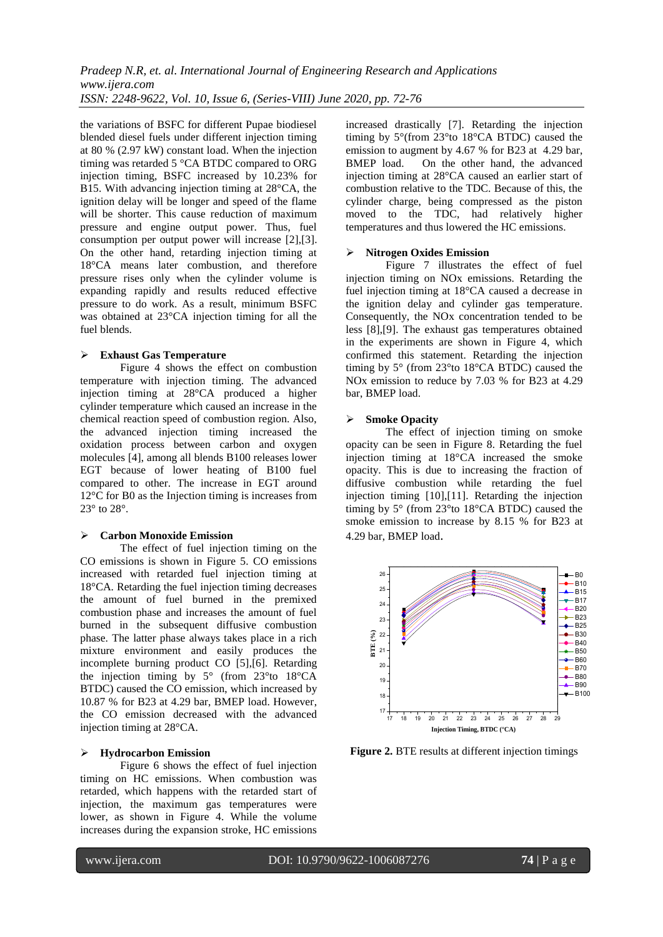*Pradeep N.R, et. al. International Journal of Engineering Research and Applications www.ijera.com ISSN: 2248-9622, Vol. 10, Issue 6, (Series-VIII) June 2020, pp. 72-76*

the variations of BSFC for different Pupae biodiesel blended diesel fuels under different injection timing at 80 % (2.97 kW) constant load. When the injection timing was retarded 5 °CA BTDC compared to ORG injection timing, BSFC increased by 10.23% for B15. With advancing injection timing at 28°CA, the ignition delay will be longer and speed of the flame will be shorter. This cause reduction of maximum pressure and engine output power. Thus, fuel consumption per output power will increase [\[2\]](#page-4-0)[,\[3\].](#page-4-1)  On the other hand, retarding injection timing at 18°CA means later combustion, and therefore pressure rises only when the cylinder volume is expanding rapidly and results reduced effective pressure to do work. As a result, minimum BSFC was obtained at 23°CA injection timing for all the fuel blends.

#### **Exhaust Gas Temperature**

Figure 4 shows the effect on combustion temperature with injection timing. The advanced injection timing at 28°CA produced a higher cylinder temperature which caused an increase in the chemical reaction speed of combustion region. Also, the advanced injection timing increased the oxidation process between carbon and oxygen molecules [\[4\],](#page-4-2) among all blends B100 releases lower EGT because of lower heating of B100 fuel compared to other. The increase in EGT around 12°C for B0 as the Injection timing is increases from 23° to 28°.

### **Carbon Monoxide Emission**

The effect of fuel injection timing on the CO emissions is shown in Figure 5. CO emissions increased with retarded fuel injection timing at 18°CA. Retarding the fuel injection timing decreases the amount of fuel burned in the premixed combustion phase and increases the amount of fuel burned in the subsequent diffusive combustion phase. The latter phase always takes place in a rich mixture environment and easily produces the incomplete burning product CO [\[5\]](#page-4-3)[,\[6\].](#page-4-4) Retarding the injection timing by 5° (from 23°to 18°CA BTDC) caused the CO emission, which increased by 10.87 % for B23 at 4.29 bar, BMEP load. However, the CO emission decreased with the advanced injection timing at 28°CA.

# **Hydrocarbon Emission**

Figure 6 shows the effect of fuel injection timing on HC emissions. When combustion was retarded, which happens with the retarded start of injection, the maximum gas temperatures were lower, as shown in Figure 4. While the volume increases during the expansion stroke, HC emissions

increased drastically [\[7\].](#page-4-5) Retarding the injection timing by 5°(from 23°to 18°CA BTDC) caused the emission to augment by 4.67 % for B23 at 4.29 bar,<br>BMEP load. On the other hand, the advanced On the other hand, the advanced injection timing at 28°CA caused an earlier start of combustion relative to the TDC. Because of this, the cylinder charge, being compressed as the piston moved to the TDC, had relatively higher temperatures and thus lowered the HC emissions.

#### **Nitrogen Oxides Emission**

Figure 7 illustrates the effect of fuel injection timing on NOx emissions. Retarding the fuel injection timing at 18°CA caused a decrease in the ignition delay and cylinder gas temperature. Consequently, the NOx concentration tended to be less [\[8\]](#page-4-6)[,\[9\].](#page-4-7) The exhaust gas temperatures obtained in the experiments are shown in Figure 4, which confirmed this statement. Retarding the injection timing by 5° (from 23°to 18°CA BTDC) caused the NOx emission to reduce by 7.03 % for B23 at 4.29 bar, BMEP load.

#### **Smoke Opacity**

The effect of injection timing on smoke opacity can be seen in Figure 8. Retarding the fuel injection timing at 18°CA increased the smoke opacity. This is due to increasing the fraction of diffusive combustion while retarding the fuel injection timing [\[10\]](#page-4-8)[,\[11\].](#page-4-9) Retarding the injection timing by 5° (from 23°to 18°CA BTDC) caused the smoke emission to increase by 8.15 % for B23 at 4.29 bar, BMEP load.



**Figure 2.** BTE results at different injection timings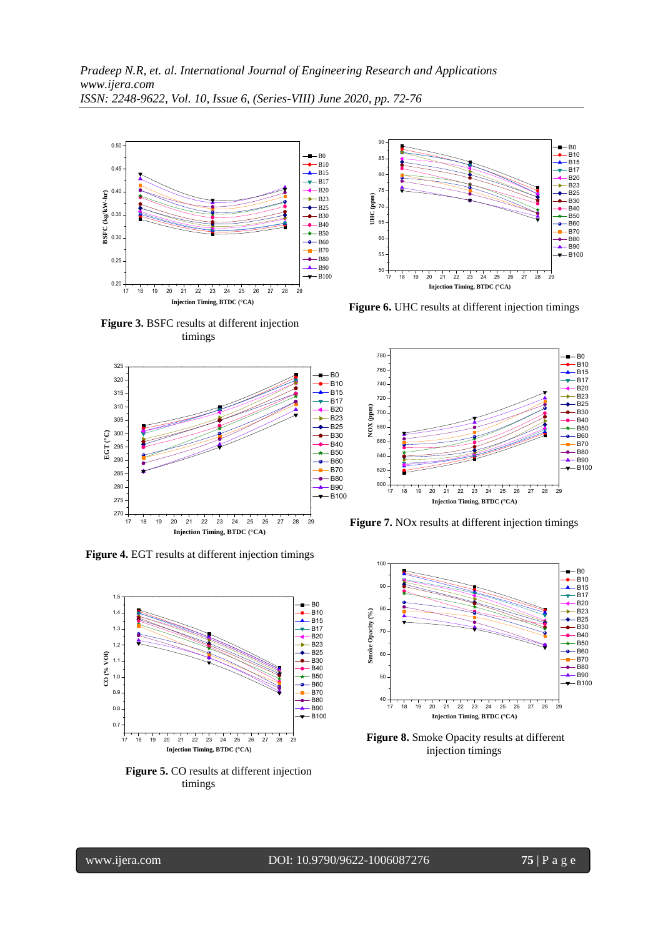

**Figure 3.** BSFC results at different injection timings



**Figure 4.** EGT results at different injection timings



**Figure 5.** CO results at different injection timings



**Figure 6.** UHC results at different injection timings



**Figure 7.** NOx results at different injection timings



**Figure 8.** Smoke Opacity results at different injection timings